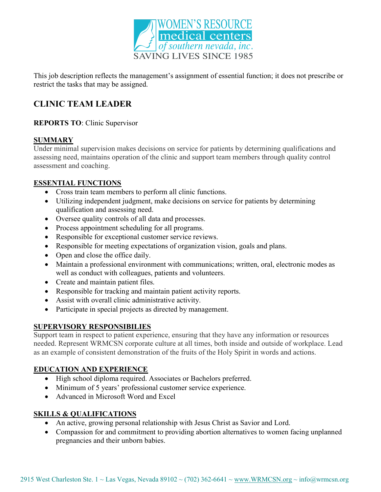

This job description reflects the management's assignment of essential function; it does not prescribe or restrict the tasks that may be assigned.

# CLINIC TEAM LEADER

# REPORTS TO: Clinic Supervisor

# SUMMARY

Under minimal supervision makes decisions on service for patients by determining qualifications and assessing need, maintains operation of the clinic and support team members through quality control assessment and coaching.

#### ESSENTIAL FUNCTIONS

- Cross train team members to perform all clinic functions.
- Utilizing independent judgment, make decisions on service for patients by determining qualification and assessing need.
- Oversee quality controls of all data and processes.
- Process appointment scheduling for all programs.
- Responsible for exceptional customer service reviews.
- Responsible for meeting expectations of organization vision, goals and plans.
- Open and close the office daily.
- Maintain a professional environment with communications; written, oral, electronic modes as well as conduct with colleagues, patients and volunteers.
- Create and maintain patient files.
- Responsible for tracking and maintain patient activity reports.
- Assist with overall clinic administrative activity.
- Participate in special projects as directed by management.

#### SUPERVISORY RESPONSIBILIES

Support team in respect to patient experience, ensuring that they have any information or resources needed. Represent WRMCSN corporate culture at all times, both inside and outside of workplace. Lead as an example of consistent demonstration of the fruits of the Holy Spirit in words and actions.

# EDUCATION AND EXPERIENCE

- High school diploma required. Associates or Bachelors preferred.
- Minimum of 5 years' professional customer service experience.
- Advanced in Microsoft Word and Excel

# SKILLS & QUALIFICATIONS

- An active, growing personal relationship with Jesus Christ as Savior and Lord.
- Compassion for and commitment to providing abortion alternatives to women facing unplanned pregnancies and their unborn babies.